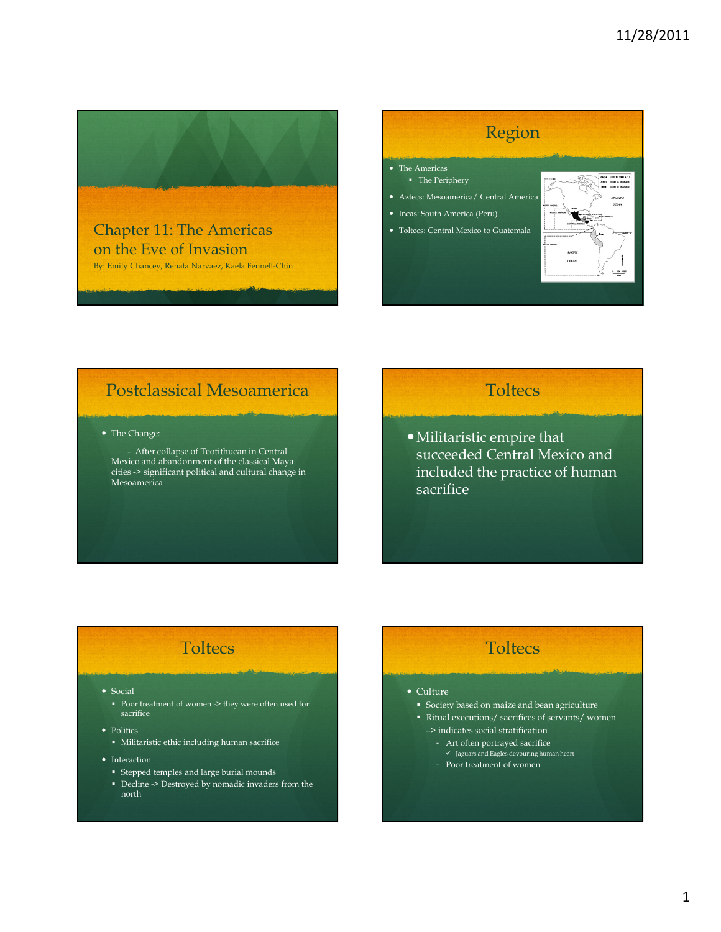

By: Emily Chancey, Renata Narvaez, Kaela Fennell-Chin

## Region

- The Americas The Periphery
- Aztecs: Mesoamerica/ Central America
- Incas: South America (Peru)
- Toltecs: Central Mexico to Guatemala



### Postclassical Mesoamerica

The Change:

- After collapse of Teotithucan in Central Mexico and abandonment of the classical Maya cities -> significant political and cultural change in Mesoamerica

### **Toltecs**

Militaristic empire that succeeded Central Mexico and included the practice of human sacrifice

### **Toltecs**

• Social

Poor treatment of women -> they were often used for sacrifice

- Politics
	- Militaristic ethic including human sacrifice
- Interaction
	- Stepped temples and large burial mounds
	- Decline -> Destroyed by nomadic invaders from the north

### **Toltecs**

- Culture
	- Society based on maize and bean agriculture
- Ritual executions/ sacrifices of servants/ women –> indicates social stratification
	- Art often portrayed sacrifice
	- Jaguars and Eagles devouring human heart
	- Poor treatment of women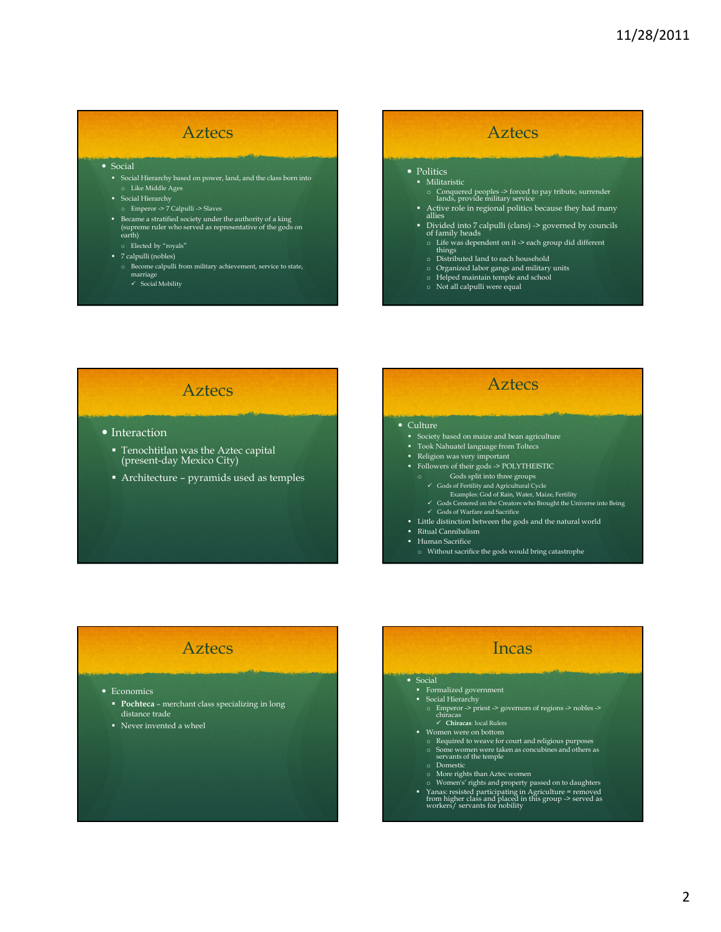### Aztecs

#### • Social

- Social Hierarchy based on power, land, and the class born into o Like Middle Ages
- **Social Hierarchy**
- o Emperor -> 7 Calpulli -> Slaves
- Became a stratified society under the authority of a king (supreme ruler who served as representative of the gods on earth)
- o Elected by "royals"
- 7 calpulli (nobles)
	- o Become calpulli from military achievement, service to state, marriage - Social Mobility
	-

#### • Politics **Militaristic**

o Conquered peoples -> forced to pay tribute, surrender lands, provide military service

Aztecs

- Active role in regional politics because they had many allies
- Divided into 7 calpulli (clans) -> governed by councils of family heads
	- o Life was dependent on it -> each group did different things o Distributed land to each household
	-
	- o Organized labor gangs and military units o Helped maintain temple and school o Not all calpulli were equal
	-
	-

### Aztecs

- Interaction
	- **Tenochtitlan was the Aztec capital** (present-day Mexico City)
	- Architecture pyramids used as temples

### • Culture

- Society based on maize and bean agriculture
- Took Nahuatel language from Toltecs
- Religion was very important
- Followers of their gods -> POLYTHEISTIC
- o Gods split into three groups
- Gods of Fertility and Agricultural Cycle
	- Examples: God of Rain, Water, Maize, Fertility Gods Centered on the Creators who Brought the Universe into Being

Aztecs

- 
- Gods of Warfare and Sacrifice
- Little distinction between the gods and the natural world
- Ritual Cannibalism
- **Human Sacrifice** 
	- o Without sacrifice the gods would bring catastrophe

### Aztecs

#### • Economics

- Pochteca merchant class specializing in long distance trade
- Never invented a wheel

### Incas

#### • Social

- Formalized government Social Hierarchy
- - o Emperor -> priest -> governors of regions -> nobles -> chiracas - Chiracas: local Rulers
- Women were on bottom
	-
	- o Required to weave for court and religious purposes o Some women were taken as concubines and others as servants of the temple
	- o Domestic
	-
	-
- $\circ$  More rights than Aztec women  $\circ$  Momen's' rights and property passed on to daughters  $\bullet$  Yanas: resisted participating in Agriculture = removed from higher class and placed in this group -> served as workers/ serva